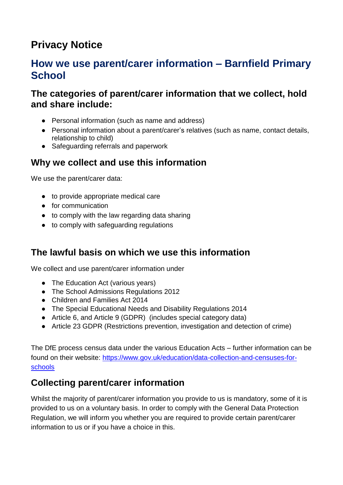## **Privacy Notice**

#### **How we use parent/carer information – Barnfield Primary School**

#### **The categories of parent/carer information that we collect, hold and share include:**

- Personal information (such as name and address)
- Personal information about a parent/carer's relatives (such as name, contact details, relationship to child)
- Safeguarding referrals and paperwork

#### **Why we collect and use this information**

We use the parent/carer data:

- to provide appropriate medical care
- for communication
- to comply with the law regarding data sharing
- to comply with safeguarding regulations

#### **The lawful basis on which we use this information**

We collect and use parent/carer information under

- The Education Act (various years)
- The School Admissions Regulations 2012
- Children and Families Act 2014
- The Special Educational Needs and Disability Regulations 2014
- Article 6, and Article 9 (GDPR) (includes special category data)
- Article 23 GDPR (Restrictions prevention, investigation and detection of crime)

The DfE process census data under the various Education Acts – further information can be found on their website: [https://www.gov.uk/education/data-collection-and-censuses-for](https://www.gov.uk/education/data-collection-and-censuses-for-schools)[schools](https://www.gov.uk/education/data-collection-and-censuses-for-schools)

### **Collecting parent/carer information**

Whilst the majority of parent/carer information you provide to us is mandatory, some of it is provided to us on a voluntary basis. In order to comply with the General Data Protection Regulation, we will inform you whether you are required to provide certain parent/carer information to us or if you have a choice in this.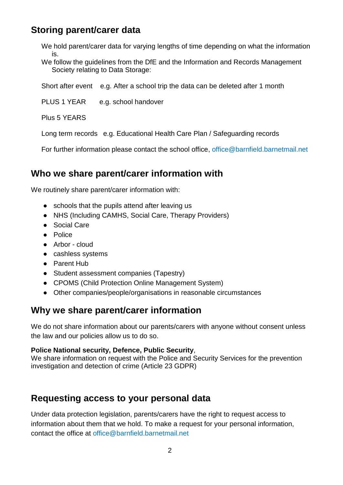#### **Storing parent/carer data**

We hold parent/carer data for varying lengths of time depending on what the information is.

We follow the guidelines from the DfE and the Information and Records Management Society relating to Data Storage:

Short after event e.g. After a school trip the data can be deleted after 1 month

PLUS 1 YEAR e.g. school handover

Plus 5 YEARS

Long term records e.g. Educational Health Care Plan / Safeguarding records

For further information please contact the school office, office@barnfield.barnetmail.net

#### **Who we share parent/carer information with**

We routinely share parent/carer information with:

- schools that the pupils attend after leaving us
- NHS (Including CAMHS, Social Care, Therapy Providers)
- Social Care
- Police
- Arbor cloud
- cashless systems
- Parent Hub
- Student assessment companies (Tapestry)
- CPOMS (Child Protection Online Management System)
- Other companies/people/organisations in reasonable circumstances

#### **Why we share parent/carer information**

We do not share information about our parents/carers with anyone without consent unless the law and our policies allow us to do so.

#### **Police National security, Defence, Public Security**,

We share information on request with the Police and Security Services for the prevention investigation and detection of crime (Article 23 GDPR)

#### **Requesting access to your personal data**

Under data protection legislation, parents/carers have the right to request access to information about them that we hold. To make a request for your personal information, contact the office at office@barnfield.barnetmail.net